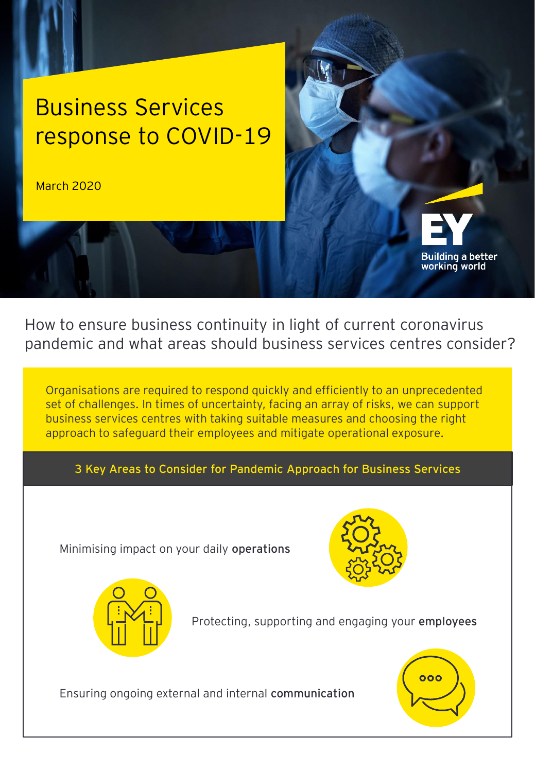# Business Services response to COVID-19

March 2020



How to ensure business continuity in light of current coronavirus pandemic and what areas should business services centres consider?

Organisations are required to respond quickly and efficiently to an unprecedented set of challenges. In times of uncertainty, facing an array of risks, we can support business services centres with taking suitable measures and choosing the right approach to safeguard their employees and mitigate operational exposure.

**3 Key Areas to Consider for Pandemic Approach for Business Services** 

Minimising impact on your daily **operations**





Protecting, supporting and engaging your **employees**



Ensuring ongoing external and internal **communication**